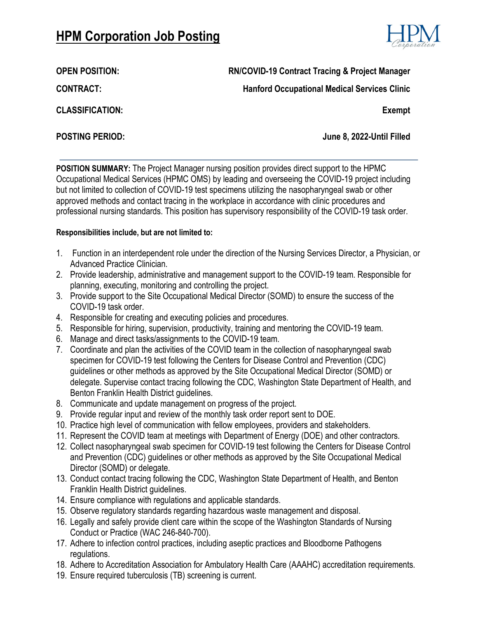# **HPM Corporation Job Posting**



# **OPEN POSITION: RN/COVID-19 Contract Tracing & Project Manager**

**Hanford Occupational Medical Services Clinic**

**CONTRACT:**

**CLASSIFICATION:**

**Exempt**

**POSTING PERIOD: June 8, 2022-Until Filled**

**POSITION SUMMARY:** The Project Manager nursing position provides direct support to the HPMC Occupational Medical Services (HPMC OMS) by leading and overseeing the COVID-19 project including but not limited to collection of COVID-19 test specimens utilizing the nasopharyngeal swab or other approved methods and contact tracing in the workplace in accordance with clinic procedures and professional nursing standards. This position has supervisory responsibility of the COVID-19 task order.

#### **Responsibilities include, but are not limited to:**

- 1. Function in an interdependent role under the direction of the Nursing Services Director, a Physician, or Advanced Practice Clinician.
- 2. Provide leadership, administrative and management support to the COVID-19 team. Responsible for planning, executing, monitoring and controlling the project.
- 3. Provide support to the Site Occupational Medical Director (SOMD) to ensure the success of the COVID-19 task order.
- 4. Responsible for creating and executing policies and procedures.
- 5. Responsible for hiring, supervision, productivity, training and mentoring the COVID-19 team.
- 6. Manage and direct tasks/assignments to the COVID-19 team.
- 7. Coordinate and plan the activities of the COVID team in the collection of nasopharyngeal swab specimen for COVID-19 test following the Centers for Disease Control and Prevention (CDC) guidelines or other methods as approved by the Site Occupational Medical Director (SOMD) or delegate. Supervise contact tracing following the CDC, Washington State Department of Health, and Benton Franklin Health District guidelines.
- 8. Communicate and update management on progress of the project.
- 9. Provide regular input and review of the monthly task order report sent to DOE.
- 10. Practice high level of communication with fellow employees, providers and stakeholders.
- 11. Represent the COVID team at meetings with Department of Energy (DOE) and other contractors.
- 12. Collect nasopharyngeal swab specimen for COVID-19 test following the Centers for Disease Control and Prevention (CDC) guidelines or other methods as approved by the Site Occupational Medical Director (SOMD) or delegate.
- 13. Conduct contact tracing following the CDC, Washington State Department of Health, and Benton Franklin Health District guidelines.
- 14. Ensure compliance with regulations and applicable standards.
- 15. Observe regulatory standards regarding hazardous waste management and disposal.
- 16. Legally and safely provide client care within the scope of the Washington Standards of Nursing Conduct or Practice (WAC 246-840-700).
- 17. Adhere to infection control practices, including aseptic practices and Bloodborne Pathogens regulations.
- 18. Adhere to Accreditation Association for Ambulatory Health Care (AAAHC) accreditation requirements.
- 19. Ensure required tuberculosis (TB) screening is current.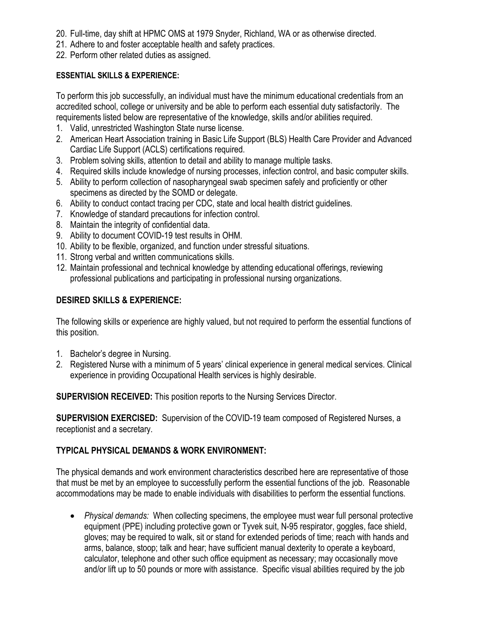- 20. Full-time, day shift at HPMC OMS at 1979 Snyder, Richland, WA or as otherwise directed.
- 21. Adhere to and foster acceptable health and safety practices.
- 22. Perform other related duties as assigned.

### **ESSENTIAL SKILLS & EXPERIENCE:**

To perform this job successfully, an individual must have the minimum educational credentials from an accredited school, college or university and be able to perform each essential duty satisfactorily. The requirements listed below are representative of the knowledge, skills and/or abilities required.

- 1. Valid, unrestricted Washington State nurse license.
- 2. American Heart Association training in Basic Life Support (BLS) Health Care Provider and Advanced Cardiac Life Support (ACLS) certifications required.
- 3. Problem solving skills, attention to detail and ability to manage multiple tasks.
- 4. Required skills include knowledge of nursing processes, infection control, and basic computer skills.
- 5. Ability to perform collection of nasopharyngeal swab specimen safely and proficiently or other specimens as directed by the SOMD or delegate.
- 6. Ability to conduct contact tracing per CDC, state and local health district guidelines.
- 7. Knowledge of standard precautions for infection control.
- 8. Maintain the integrity of confidential data.
- 9. Ability to document COVID-19 test results in OHM.
- 10. Ability to be flexible, organized, and function under stressful situations.
- 11. Strong verbal and written communications skills.
- 12. Maintain professional and technical knowledge by attending educational offerings, reviewing professional publications and participating in professional nursing organizations.

# **DESIRED SKILLS & EXPERIENCE:**

The following skills or experience are highly valued, but not required to perform the essential functions of this position.

- 1. Bachelor's degree in Nursing.
- 2. Registered Nurse with a minimum of 5 years' clinical experience in general medical services. Clinical experience in providing Occupational Health services is highly desirable.

**SUPERVISION RECEIVED:** This position reports to the Nursing Services Director.

**SUPERVISION EXERCISED:** Supervision of the COVID-19 team composed of Registered Nurses, a receptionist and a secretary.

# **TYPICAL PHYSICAL DEMANDS & WORK ENVIRONMENT:**

The physical demands and work environment characteristics described here are representative of those that must be met by an employee to successfully perform the essential functions of the job. Reasonable accommodations may be made to enable individuals with disabilities to perform the essential functions.

• *Physical demands:* When collecting specimens, the employee must wear full personal protective equipment (PPE) including protective gown or Tyvek suit, N-95 respirator, goggles, face shield, gloves; may be required to walk, sit or stand for extended periods of time; reach with hands and arms, balance, stoop; talk and hear; have sufficient manual dexterity to operate a keyboard, calculator, telephone and other such office equipment as necessary; may occasionally move and/or lift up to 50 pounds or more with assistance. Specific visual abilities required by the job